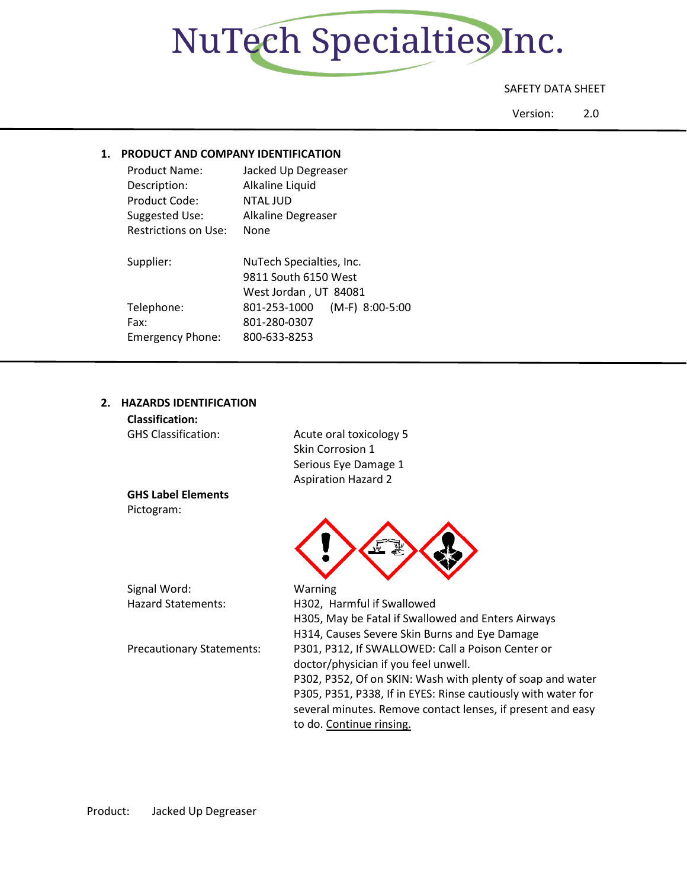

## SAFETY DATA SHEET

Version: 2.0

## **1. PRODUCT AND COMPANY IDENTIFICATION**

| Product Name:               | Jacked Up Degreaser               |  |  |
|-----------------------------|-----------------------------------|--|--|
| Description:                | Alkaline Liquid                   |  |  |
| Product Code:               | <b>NTAL JUD</b>                   |  |  |
| Suggested Use:              | Alkaline Degreaser                |  |  |
| <b>Restrictions on Use:</b> | None                              |  |  |
| Supplier:                   | NuTech Specialties, Inc.          |  |  |
|                             | 9811 South 6150 West              |  |  |
|                             | West Jordan, UT 84081             |  |  |
| Telephone:                  | $(M-F)$ 8:00-5:00<br>801-253-1000 |  |  |
| Fax:                        | 801-280-0307                      |  |  |
| <b>Emergency Phone:</b>     | 800-633-8253                      |  |  |

## **2. HAZARDS IDENTIFICATION**

| <b>Classification:</b>           |                                                               |
|----------------------------------|---------------------------------------------------------------|
| <b>GHS Classification:</b>       | Acute oral toxicology 5                                       |
|                                  | Skin Corrosion 1                                              |
|                                  | Serious Eye Damage 1                                          |
|                                  | <b>Aspiration Hazard 2</b>                                    |
| <b>GHS Label Elements</b>        |                                                               |
| Pictogram:                       |                                                               |
|                                  |                                                               |
|                                  |                                                               |
|                                  |                                                               |
|                                  |                                                               |
| Signal Word:                     | Warning                                                       |
| <b>Hazard Statements:</b>        | H302, Harmful if Swallowed                                    |
|                                  | H305, May be Fatal if Swallowed and Enters Airways            |
|                                  | H314, Causes Severe Skin Burns and Eye Damage                 |
| <b>Precautionary Statements:</b> | P301, P312, If SWALLOWED: Call a Poison Center or             |
|                                  | doctor/physician if you feel unwell.                          |
|                                  | P302, P352, Of on SKIN: Wash with plenty of soap and water    |
|                                  | P305, P351, P338, If in EYES: Rinse cautiously with water for |
|                                  |                                                               |

to do. Continue rinsing.

several minutes. Remove contact lenses, if present and easy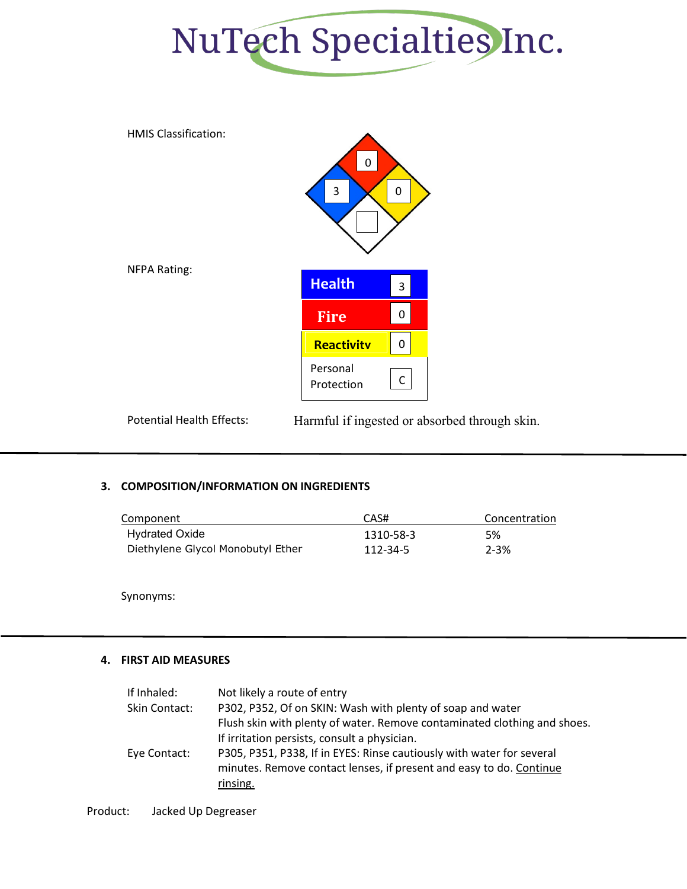



Potential Health Effects: Harmful if ingested or absorbed through skin.

## **3. COMPOSITION/INFORMATION ON INGREDIENTS**

| Component                         | CAS#      | Concentration |
|-----------------------------------|-----------|---------------|
| <b>Hydrated Oxide</b>             | 1310-58-3 | 5%            |
| Diethylene Glycol Monobutyl Ether | 112-34-5  | $2 - 3%$      |

Synonyms:

## **4. FIRST AID MEASURES**

| If Inhaled:   | Not likely a route of entry                                              |
|---------------|--------------------------------------------------------------------------|
| Skin Contact: | P302, P352, Of on SKIN: Wash with plenty of soap and water               |
|               | Flush skin with plenty of water. Remove contaminated clothing and shoes. |
|               | If irritation persists, consult a physician.                             |
| Eye Contact:  | P305, P351, P338, If in EYES: Rinse cautiously with water for several    |
|               | minutes. Remove contact lenses, if present and easy to do. Continue      |
|               | rinsing.                                                                 |
|               |                                                                          |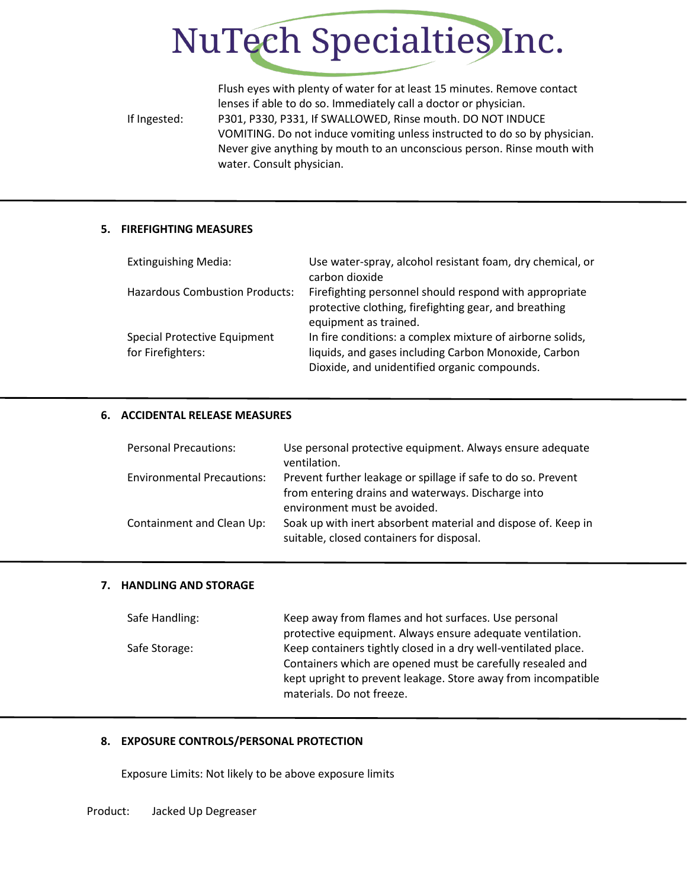# NuTech Specialties Inc.

Flush eyes with plenty of water for at least 15 minutes. Remove contact lenses if able to do so. Immediately call a doctor or physician. If Ingested: P301, P330, P331, If SWALLOWED, Rinse mouth. DO NOT INDUCE VOMITING. Do not induce vomiting unless instructed to do so by physician. Never give anything by mouth to an unconscious person. Rinse mouth with water. Consult physician.

## **5. FIREFIGHTING MEASURES**

| <b>Extinguishing Media:</b>                       | Use water-spray, alcohol resistant foam, dry chemical, or<br>carbon dioxide                                                                                       |
|---------------------------------------------------|-------------------------------------------------------------------------------------------------------------------------------------------------------------------|
| <b>Hazardous Combustion Products:</b>             | Firefighting personnel should respond with appropriate<br>protective clothing, firefighting gear, and breathing<br>equipment as trained.                          |
| Special Protective Equipment<br>for Firefighters: | In fire conditions: a complex mixture of airborne solids,<br>liquids, and gases including Carbon Monoxide, Carbon<br>Dioxide, and unidentified organic compounds. |

#### **6. ACCIDENTAL RELEASE MEASURES**

| <b>Personal Precautions:</b>      | Use personal protective equipment. Always ensure adequate<br>ventilation.                                                                           |
|-----------------------------------|-----------------------------------------------------------------------------------------------------------------------------------------------------|
| <b>Environmental Precautions:</b> | Prevent further leakage or spillage if safe to do so. Prevent<br>from entering drains and waterways. Discharge into<br>environment must be avoided. |
| Containment and Clean Up:         | Soak up with inert absorbent material and dispose of. Keep in<br>suitable, closed containers for disposal.                                          |

#### **7. HANDLING AND STORAGE**

| Safe Handling: | Keep away from flames and hot surfaces. Use personal           |  |  |
|----------------|----------------------------------------------------------------|--|--|
|                | protective equipment. Always ensure adequate ventilation.      |  |  |
| Safe Storage:  | Keep containers tightly closed in a dry well-ventilated place. |  |  |
|                | Containers which are opened must be carefully resealed and     |  |  |
|                | kept upright to prevent leakage. Store away from incompatible  |  |  |
|                | materials. Do not freeze.                                      |  |  |

## **8. EXPOSURE CONTROLS/PERSONAL PROTECTION**

Exposure Limits: Not likely to be above exposure limits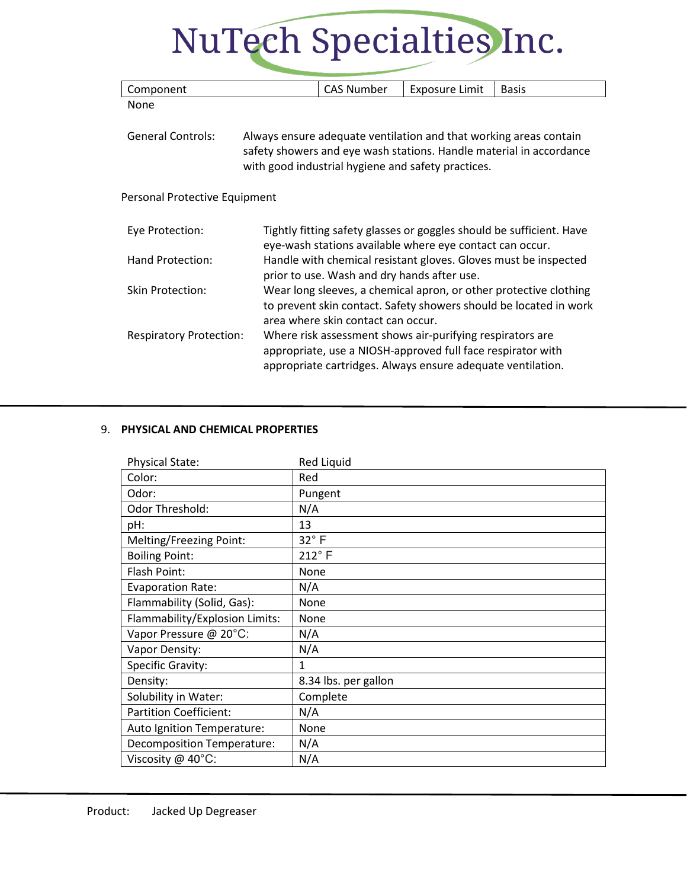## NuTech Specialties Inc.

| Component                                                                                                                                                                                                                  |                                                                                                                | <b>CAS Number</b>                  | <b>Exposure Limit</b>                                                                                                                                                                   | <b>Basis</b>                                                                                                                           |
|----------------------------------------------------------------------------------------------------------------------------------------------------------------------------------------------------------------------------|----------------------------------------------------------------------------------------------------------------|------------------------------------|-----------------------------------------------------------------------------------------------------------------------------------------------------------------------------------------|----------------------------------------------------------------------------------------------------------------------------------------|
| None                                                                                                                                                                                                                       |                                                                                                                |                                    |                                                                                                                                                                                         |                                                                                                                                        |
| <b>General Controls:</b><br>Always ensure adequate ventilation and that working areas contain<br>safety showers and eye wash stations. Handle material in accordance<br>with good industrial hygiene and safety practices. |                                                                                                                |                                    |                                                                                                                                                                                         |                                                                                                                                        |
| Personal Protective Equipment                                                                                                                                                                                              |                                                                                                                |                                    |                                                                                                                                                                                         |                                                                                                                                        |
| Eye Protection:                                                                                                                                                                                                            |                                                                                                                |                                    | eye-wash stations available where eye contact can occur.                                                                                                                                | Tightly fitting safety glasses or goggles should be sufficient. Have                                                                   |
| Hand Protection:                                                                                                                                                                                                           | Handle with chemical resistant gloves. Gloves must be inspected<br>prior to use. Wash and dry hands after use. |                                    |                                                                                                                                                                                         |                                                                                                                                        |
| <b>Skin Protection:</b>                                                                                                                                                                                                    |                                                                                                                | area where skin contact can occur. |                                                                                                                                                                                         | Wear long sleeves, a chemical apron, or other protective clothing<br>to prevent skin contact. Safety showers should be located in work |
| <b>Respiratory Protection:</b>                                                                                                                                                                                             |                                                                                                                |                                    | Where risk assessment shows air-purifying respirators are<br>appropriate, use a NIOSH-approved full face respirator with<br>appropriate cartridges. Always ensure adequate ventilation. |                                                                                                                                        |

## 9. **PHYSICAL AND CHEMICAL PROPERTIES**

| <b>Physical State:</b>         | <b>Red Liquid</b>    |
|--------------------------------|----------------------|
| Color:                         | Red                  |
| Odor:                          | Pungent              |
| Odor Threshold:                | N/A                  |
| pH:                            | 13                   |
| Melting/Freezing Point:        | $32^\circ$ F         |
| <b>Boiling Point:</b>          | $212^{\circ}$ F      |
| Flash Point:                   | None                 |
| <b>Evaporation Rate:</b>       | N/A                  |
| Flammability (Solid, Gas):     | None                 |
| Flammability/Explosion Limits: | None                 |
| Vapor Pressure @ 20°C:         | N/A                  |
| Vapor Density:                 | N/A                  |
| Specific Gravity:              | 1                    |
| Density:                       | 8.34 lbs. per gallon |
| Solubility in Water:           | Complete             |
| <b>Partition Coefficient:</b>  | N/A                  |
| Auto Ignition Temperature:     | None                 |
| Decomposition Temperature:     | N/A                  |
| Viscosity @ 40°C:              | N/A                  |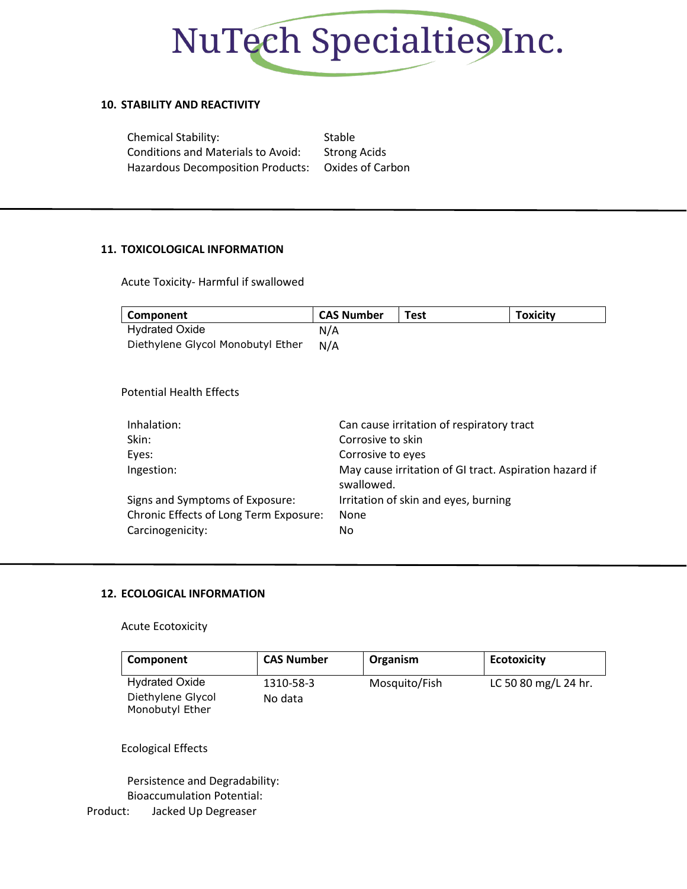

## **10. STABILITY AND REACTIVITY**

| <b>Chemical Stability:</b>                         | Stable              |
|----------------------------------------------------|---------------------|
| <b>Conditions and Materials to Avoid:</b>          | <b>Strong Acids</b> |
| Hazardous Decomposition Products: Oxides of Carbon |                     |

## **11. TOXICOLOGICAL INFORMATION**

Acute Toxicity- Harmful if swallowed

| Component                              | <b>CAS Number</b> | <b>Test</b>                               | <b>Toxicity</b>                                        |  |
|----------------------------------------|-------------------|-------------------------------------------|--------------------------------------------------------|--|
| <b>Hydrated Oxide</b>                  | N/A               |                                           |                                                        |  |
| Diethylene Glycol Monobutyl Ether      | N/A               |                                           |                                                        |  |
| <b>Potential Health Effects</b>        |                   |                                           |                                                        |  |
| Inhalation:                            |                   | Can cause irritation of respiratory tract |                                                        |  |
| Skin:                                  | Corrosive to skin |                                           |                                                        |  |
| Eyes:                                  | Corrosive to eyes |                                           |                                                        |  |
| Ingestion:                             | swallowed.        |                                           | May cause irritation of GI tract. Aspiration hazard if |  |
| Signs and Symptoms of Exposure:        |                   | Irritation of skin and eyes, burning      |                                                        |  |
| Chronic Effects of Long Term Exposure: | None              |                                           |                                                        |  |
| Carcinogenicity:                       | No                |                                           |                                                        |  |
|                                        |                   |                                           |                                                        |  |

## **12. ECOLOGICAL INFORMATION**

#### Acute Ecotoxicity

| Component             | <b>CAS Number</b> | Organism      | <b>Ecotoxicity</b>   |
|-----------------------|-------------------|---------------|----------------------|
| <b>Hydrated Oxide</b> | 1310-58-3         | Mosquito/Fish | LC 50 80 mg/L 24 hr. |
| Diethylene Glycol     | No data           |               |                      |
| Monobutyl Ether       |                   |               |                      |

## Ecological Effects

Persistence and Degradability: Bioaccumulation Potential: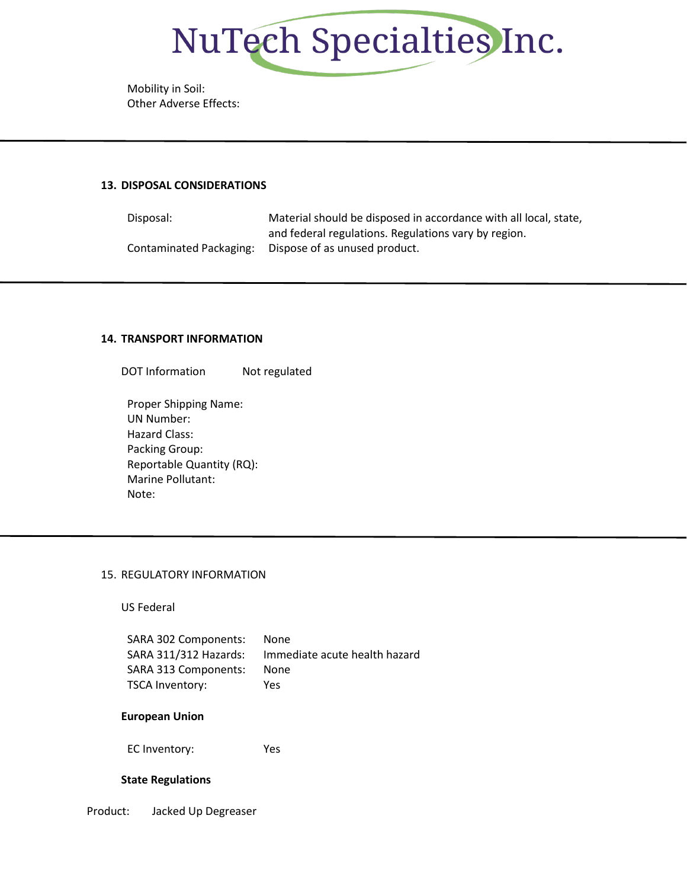

Mobility in Soil: Other Adverse Effects:

#### **13. DISPOSAL CONSIDERATIONS**

Disposal: Material should be disposed in accordance with all local, state, and federal regulations. Regulations vary by region. Contaminated Packaging: Dispose of as unused product.

#### **14. TRANSPORT INFORMATION**

DOT Information Not regulated

Proper Shipping Name: UN Number: Hazard Class: Packing Group: Reportable Quantity (RQ): Marine Pollutant: Note:

#### 15. REGULATORY INFORMATION

US Federal

| SARA 302 Components:  | None                          |
|-----------------------|-------------------------------|
| SARA 311/312 Hazards: | Immediate acute health hazard |
| SARA 313 Components:  | None                          |
| TSCA Inventory:       | Yes                           |

#### **European Union**

EC Inventory: Yes

#### **State Regulations**